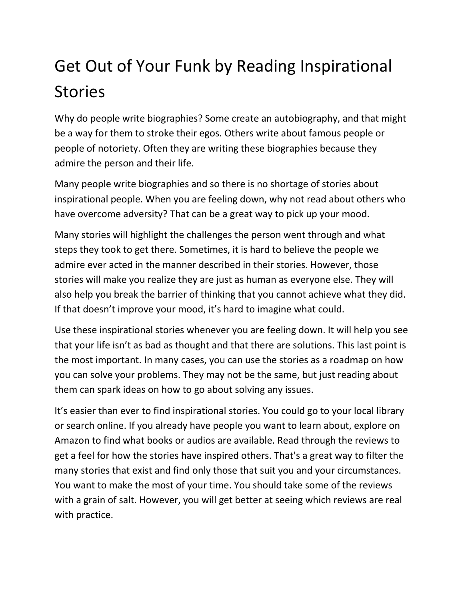## Get Out of Your Funk by Reading Inspirational Stories

Why do people write biographies? Some create an autobiography, and that might be a way for them to stroke their egos. Others write about famous people or people of notoriety. Often they are writing these biographies because they admire the person and their life.

Many people write biographies and so there is no shortage of stories about inspirational people. When you are feeling down, why not read about others who have overcome adversity? That can be a great way to pick up your mood.

Many stories will highlight the challenges the person went through and what steps they took to get there. Sometimes, it is hard to believe the people we admire ever acted in the manner described in their stories. However, those stories will make you realize they are just as human as everyone else. They will also help you break the barrier of thinking that you cannot achieve what they did. If that doesn't improve your mood, it's hard to imagine what could.

Use these inspirational stories whenever you are feeling down. It will help you see that your life isn't as bad as thought and that there are solutions. This last point is the most important. In many cases, you can use the stories as a roadmap on how you can solve your problems. They may not be the same, but just reading about them can spark ideas on how to go about solving any issues.

It's easier than ever to find inspirational stories. You could go to your local library or search online. If you already have people you want to learn about, explore on Amazon to find what books or audios are available. Read through the reviews to get a feel for how the stories have inspired others. That's a great way to filter the many stories that exist and find only those that suit you and your circumstances. You want to make the most of your time. You should take some of the reviews with a grain of salt. However, you will get better at seeing which reviews are real with practice.